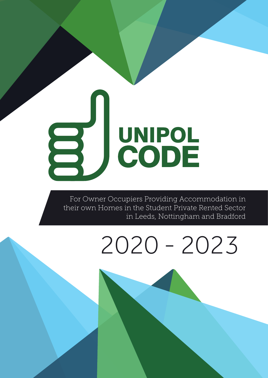# UNIPOL

 For Owner Occupiers Providing Accommodation in their own Homes in the Student Private Rented Sector in Leeds, Nottingham and Bradford

## 2020 - 2023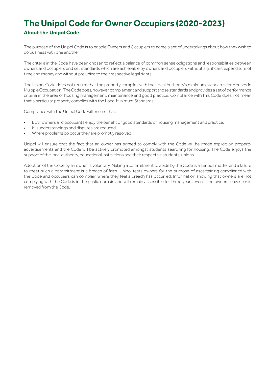### **The Unipol Code for Owner Occupiers (2020-2023) About the Unipol Code**

The purpose of the Unipol Code is to enable Owners and Occupiers to agree a set of undertakings about how they wish to do business with one another.

The criteria in the Code have been chosen to reflect a balance of common sense obligations and responsibilities between owners and occupiers and set standards which are achievable by owners and occupiers without significant expenditure of time and money and without prejudice to their respective legal rights.

The Unipol Code does not require that the property complies with the Local Authority's minimum standards for Houses in Multiple Occupation. The Code does, however, complement and support those standards and provides a set of performance criteria in the area of housing management, maintenance and good practice. Compliance with this Code does not mean that a particular property complies with the Local Minimum Standards.

Compliance with the Unipol Code will ensure that:

- Both owners and occupants enjoy the benefit of good standards of housing management and practice.
- Misunderstandings and disputes are reduced.
- Where problems do occur they are promptly resolved.

Unipol will ensure that the fact that an owner has agreed to comply with the Code will be made explicit on property advertisements and the Code will be actively promoted amongst students searching for housing. The Code enjoys the support of the local authority, educational institutions and their respective students' unions.

Adoption of the Code by an owner is voluntary. Making a commitment to abide by the Code is a serious matter and a failure to meet such a commitment is a breach of faith. Unipol tests owners for the purpose of ascertaining compliance with the Code and occupiers can complain where they feel a breach has occurred. Information showing that owners are not complying with the Code is in the public domain and will remain accessible for three years even if the owners leaves, or is removed from the Code.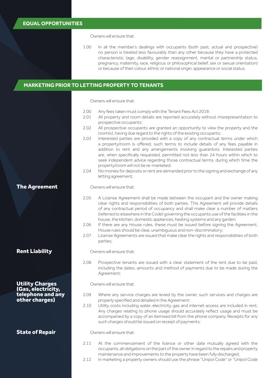Owners will ensure that:

1.00 In all the member's dealings with occupants (both past, actual and prospective) no person is treated less favourably than any other because they have a protected characteristic (age, disability, gender reassignment, marital or partnership status, pregnancy, maternity, race, religious or philosophical belief, sex or sexual orientation) or because of their colour, ethnic or national origin, appearance or social status.

#### MARKETING PRIOR TO LETTING PROPERTY TO TENANTS **MARKETING PRIOR TO LETTING PROPERTY TO TENANTS**

Owners will ensure that:

- 2.00 Any fees taken must comply with the Tenant Fees Act 2019;<br>2.01 All property and room details are reported accurately with
- All property and room details are reported accurately without misrepresentation to prospective occupants;
- 2.02 All prospective occupants are granted an opportunity to view the property and the room(s), having due regard to the rights of the existing occupants;
- 2.03 Interested parties are provided with a copy of any contractual terms under which a property/room is offered, such terms to include details of any fees payable in addition to rent and any arrangements involving guarantors. Interested parties are, when specifically requested, permitted not less than 24 hours within which to seek independent advice regarding those contractual terms, during which time the property/room will not be re-marketed;
- 2.04 No monies for deposits or rent are demanded prior to the signing and exchange of any letting agreement;

Owners will ensure that:

- 2.05 A License Agreement shall be made between the occupant and the owner making clear rights and responsibilities of both parties. This Agreement will provide details of any contractual period of occupancy and shall make clear a number of matters (referred to elsewhere in the Code) governing the occupants use of the facilities in the house, the kitchen, domestic appliances, heating systems and any garden;
- 2.06 If there are any House rules, these must be issued before signing the Agreement. House rules should be clear, unambiguous and non-discriminatory;
- 2.07 License Agreements are issued that make clear the rights and responsibilities of both parties;

Rent Liability

The Agreement

Utility Charges (Gas, electricity, telephone and any other charges)

#### State of Repair

Owners will ensure that:

2.08 Prospective tenants are issued with a clear statement of the rent due to be paid, including the dates, amounts and method of payments due to be made during the Agreement;

Owners will ensure that:

- 2.09 Where any service charges are levied by the owner, such services and charges are properly specified and detailed in the Agreement;
	- 2.10 Utility costs including water, electricity, gas and internet access are included in rent. Any charges relating to phone usage should accurately reflect usage and must be accompanied by a copy of an itemised bill from the phone company. Receipts for any such charges should be issued on receipt of payments;

Owners will ensure that:

- 2.11 At the commencement of the licence or other date mutually agreed with the occupants, all obligations on the part of the owner in regard to the repairs and property maintenance and improvements to the property have been fully discharged;
- 2.12 In marketing a property owners should use the phrase "Unipol Code" or "Unipol Code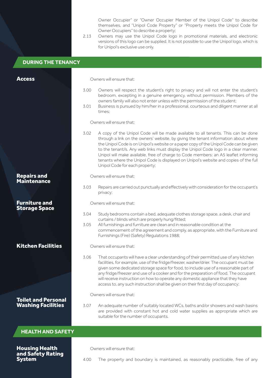Owner Occupier" or "Owner Occupier Member of the Unipol Code" to describe themselves, and "Unipol Code Property" or "Property meets the Unipol Code for Owner Occupiers" to describe a property;

2.13 Owners may use the Unipol Code logo in promotional materials, and electronic versions of this logo can be supplied. It is not possible to use the Unipol logo, which is for Unipol's exclusive use only.

| <b>DURING THE TENANCY</b>                               |                          |                                                                                                                                                                                                                                                                                                                                                                                                                                                                                                                                                                             |  |
|---------------------------------------------------------|--------------------------|-----------------------------------------------------------------------------------------------------------------------------------------------------------------------------------------------------------------------------------------------------------------------------------------------------------------------------------------------------------------------------------------------------------------------------------------------------------------------------------------------------------------------------------------------------------------------------|--|
|                                                         |                          |                                                                                                                                                                                                                                                                                                                                                                                                                                                                                                                                                                             |  |
| <b>Access</b>                                           | Owners will ensure that: |                                                                                                                                                                                                                                                                                                                                                                                                                                                                                                                                                                             |  |
|                                                         | 3.00                     | Owners will respect the student's right to privacy and will not enter the student's<br>bedroom, excepting in a genuine emergency, without permission. Members of the<br>owners family will also not enter unless with the permission of the student;                                                                                                                                                                                                                                                                                                                        |  |
|                                                         | 3.01                     | Business is pursued by him/her in a professional, courteous and diligent manner at all<br>times:                                                                                                                                                                                                                                                                                                                                                                                                                                                                            |  |
|                                                         | Owners will ensure that: |                                                                                                                                                                                                                                                                                                                                                                                                                                                                                                                                                                             |  |
|                                                         | 3.02                     | A copy of the Unipol Code will be made available to all tenants. This can be done<br>through a link on the owners' website, by giving the tenant information about where<br>the Unipol Code is on Unipol's website or a paper copy of the Unipol Code can be given<br>to the tenant/s. Any web links must display the Unipol Code logo in a clear manner.<br>Unipol will make available, free of charge to Code members: an A5 leaflet informing<br>tenants where the Unipol Code is displayed on Unipol's website and copies of the full<br>Unipol Code for each property; |  |
| <b>Repairs and</b>                                      | Owners will ensure that: |                                                                                                                                                                                                                                                                                                                                                                                                                                                                                                                                                                             |  |
| <b>Maintenance</b>                                      | 3.03                     | Repairs are carried out punctually and effectively with consideration for the occupant's<br>privacy;                                                                                                                                                                                                                                                                                                                                                                                                                                                                        |  |
| <b>Furniture and</b><br><b>Storage Space</b>            |                          | Owners will ensure that:                                                                                                                                                                                                                                                                                                                                                                                                                                                                                                                                                    |  |
|                                                         | 3.04                     | Study bedrooms contain a bed, adequate clothes storage space, a desk, chair and<br>curtains / blinds which are properly hung/fitted;                                                                                                                                                                                                                                                                                                                                                                                                                                        |  |
|                                                         | 3.05                     | All furnishings and furniture are clean and in reasonable condition at the<br>commencement of the agreement and comply, as appropriate, with the Furniture and<br>Furnishings (Fire) (Safety) Regulations 1988;                                                                                                                                                                                                                                                                                                                                                             |  |
| <b>Kitchen Facilities</b>                               | Owners will ensure that: |                                                                                                                                                                                                                                                                                                                                                                                                                                                                                                                                                                             |  |
|                                                         | 3.06                     | That occupants will have a clear understanding of their permitted use of any kitchen<br>facilities, for example, use of the fridge/freezer, washer/drier. The occupant must be<br>given some dedicated storage space for food, to include use of a reasonable part of<br>any fridge/freezer and use of a cooker and for the preparation of food. The occupant<br>will receive instruction on how to operate any domestic appliance that they have<br>access to, any such instruction shall be given on their first day of occupancy;                                        |  |
|                                                         | Owners will ensure that: |                                                                                                                                                                                                                                                                                                                                                                                                                                                                                                                                                                             |  |
| <b>Toilet and Personal</b><br><b>Washing Facilities</b> | 3.07                     | An adequate number of suitably located WCs, baths and/or showers and wash basins<br>are provided with constant hot and cold water supplies as appropriate which are<br>suitable for the number of occupants.                                                                                                                                                                                                                                                                                                                                                                |  |
| <b>HEALTH AND SAFETY</b>                                |                          |                                                                                                                                                                                                                                                                                                                                                                                                                                                                                                                                                                             |  |
|                                                         |                          |                                                                                                                                                                                                                                                                                                                                                                                                                                                                                                                                                                             |  |
| <b>Housing Health</b><br>and Safety Rating              |                          | Owners will ensure that:                                                                                                                                                                                                                                                                                                                                                                                                                                                                                                                                                    |  |
| <b>System</b>                                           | 4.00                     | The property and boundary is maintained, as reasonably practicable, free of any                                                                                                                                                                                                                                                                                                                                                                                                                                                                                             |  |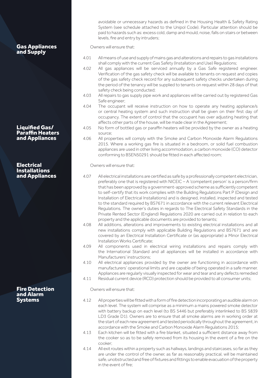Gas Appliances and Supply

Liquified Gas/ Paraffin Heaters and Appliances

**Electrical** Installations and Appliances

Fire Detection and Alarm Systems

avoidable or unnecessary hazards as defined in the Housing Health & Safety Rating System (see schedule attached to the Unipol Code). Particular attention should be paid to hazards such as: excess cold, damp and mould, noise, falls on stairs or between levels, fire and entry by intruders;

Owners will ensure that:

- 4.01 All means of use and supply of mains gas and alterations and repairs to gas installations shall comply with the current Gas Safety (Installation and Use) Regulations;
- 4.02 All gas appliances will be serviced annually by a Gas Safe registered engineer. Verification of the gas safety check will be available to tenants on request and copies of the gas safety check record for any subsequent safety checks undertaken during the period of the tenancy will be supplied to tenants on request within 28 days of that safety check being conducted;
- 4.03 All repairs to gas supply pipe work and appliances will be carried out by registered Gas Safe engineer;
- 4.04 The occupant will receive instruction on how to operate any heating appliance/s or central heating system and such instruction shall be given on their first day of occupancy. The extent of control that the occupant has over adjusting heating that affects other parts of the house, will be made clear in the Agreement;
- 4.05 No form of bottled gas or paraffin heaters will be provided by the owner as a heating source;
- 4.06 All properties will comply with the Smoke and Carbon Monoxide Alarm Regulations 2015. Where a working gas fire is situated in a bedroom, or solid fuel combustion appliances are used in other living accommodation, a carbon monoxide (CO) detector conforming to BSEN50291 should be fitted in each affected room;

Owners will ensure that:

- 4.07 All electrical installations are certified as safe by a professionally competent electrician, preferably one that is registered with NICEIC – A 'competent person' is a person/firm that has been approved by a government-approved scheme as sufficiently competent to self-certify that its work complies with the Building Regulations Part P (Design and Installation of Electrical Installations) and is designed, installed, inspected and tested to the standard required by BS7671 in accordance with the current relevant Electrical Regulations. The owner's duties in regards to The Electrical Safety Standards in the Private Rented Sector (England) Regulations 2020 are carried out in relation to each property and the applicable documents are provided to tenants;
- 4.08 All additions, alterations and improvements to existing electrical installations and all new installations comply with applicable Building Regulations and BS7671 and are covered by an Electrical Installation Certificate or (as appropriate) a Minor Electrical Installation Works Certificate;
- 4.09 All components used in electrical wiring installations and repairs comply with the International Standard and all appliances will be installed in accordance with Manufacturers' instructions;
- 4.10 All electrical appliances provided by the owner are functioning in accordance with manufacturers' operational limits and are capable of being operated in a safe manner. Appliances are regularly visually inspected for wear and tear and any defects remedied
- 4.11 Residual current device (RCD) protection should be provided to all consumer units;

Owners will ensure that:

- 4.12 All properties will be fitted with a form of fire detection incorporating an audible alarm on each level. The system will comprise as a minimum a mains powered smoke detector with battery backup on each level (to BS 5446 but preferably interlinked to BS 5839 LD3 Grade D1). Owners are to ensure that all smoke alarms are in working order at the start of each new agreement and tested periodically throughout the agreement, in accordance with the Smoke and Carbon Monoxide Alarm Regulations 2015;
- 4.13 Each kitchen will be fitted with a fire blanket, situated a sufficient distance away from the cooker so as to be safely removed from its housing in the event of a fire on the cooker;
- 4.14 All exit routes within a property such as hallways, landings and staircases, so far as they are under the control of the owner, as far as reasonably practical, will be maintained safe, unobstructed and free of fixtures and fittings to enable evacuation of the property in the event of fire;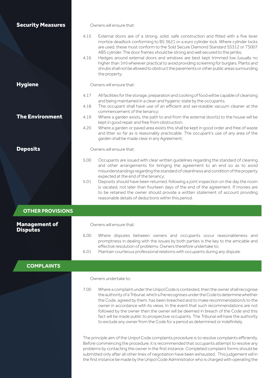| <b>Security Measures</b>                |                                                                                                                                                                                                                                                                                                                                                                                                                                                                                                | Owners will ensure that:                                                                                                                                                                                                                                                                                                                                                                                                                                                                                                                                                                                                                    |  |  |
|-----------------------------------------|------------------------------------------------------------------------------------------------------------------------------------------------------------------------------------------------------------------------------------------------------------------------------------------------------------------------------------------------------------------------------------------------------------------------------------------------------------------------------------------------|---------------------------------------------------------------------------------------------------------------------------------------------------------------------------------------------------------------------------------------------------------------------------------------------------------------------------------------------------------------------------------------------------------------------------------------------------------------------------------------------------------------------------------------------------------------------------------------------------------------------------------------------|--|--|
|                                         | 4.15<br>4.16                                                                                                                                                                                                                                                                                                                                                                                                                                                                                   | External doors are of a strong, solid, safe construction and fitted with a five lever<br>mortice deadlock conforming to BS 3621 or a euro cylinder lock. Where cylinder locks<br>are used, these must conform to the Sold Secure Diamond Standard SS312 or TS007<br>ABS cylinder. The door frames should be strong and well secured to the jambs;<br>Hedges around external doors and windows are best kept trimmed low (usually no<br>higher than 1m) wherever practical to avoid providing screening for burglars. Plants and<br>shrubs shall not be allowed to obstruct the pavements or other public areas surrounding<br>the property; |  |  |
| <b>Hygiene</b>                          | Owners will ensure that:                                                                                                                                                                                                                                                                                                                                                                                                                                                                       |                                                                                                                                                                                                                                                                                                                                                                                                                                                                                                                                                                                                                                             |  |  |
|                                         | 4.17                                                                                                                                                                                                                                                                                                                                                                                                                                                                                           | All facilities for the storage, preparation and cooking of food will be capable of cleansing                                                                                                                                                                                                                                                                                                                                                                                                                                                                                                                                                |  |  |
|                                         | 4.18                                                                                                                                                                                                                                                                                                                                                                                                                                                                                           | and being maintained in a clean and hygienic state by the occupants;<br>The occupant shall have use of an efficient and serviceable vacuum cleaner at the                                                                                                                                                                                                                                                                                                                                                                                                                                                                                   |  |  |
| <b>The Environment</b>                  | 4.19                                                                                                                                                                                                                                                                                                                                                                                                                                                                                           | commencement of the tenancy;<br>Where a garden exists, the path to and from the external door(s) to the house will be                                                                                                                                                                                                                                                                                                                                                                                                                                                                                                                       |  |  |
|                                         | 4.20                                                                                                                                                                                                                                                                                                                                                                                                                                                                                           | kept in good repair and free from obstruction;<br>Where a garden or paved area exists this shall be kept in good order and free of waste<br>and litter so far as is reasonably practicable. The occupant's use of any area of the<br>garden shall be made clear in any Agreement;                                                                                                                                                                                                                                                                                                                                                           |  |  |
| <b>Deposits</b>                         | Owners will ensure that:                                                                                                                                                                                                                                                                                                                                                                                                                                                                       |                                                                                                                                                                                                                                                                                                                                                                                                                                                                                                                                                                                                                                             |  |  |
|                                         | 5.00                                                                                                                                                                                                                                                                                                                                                                                                                                                                                           | Occupants are issued with clear written guidelines regarding the standard of cleaning<br>and other arrangements for bringing the agreement to an end so as to avoid<br>misunderstandings regarding the standard of cleanliness and condition of the property<br>expected at the end of the tenancy;                                                                                                                                                                                                                                                                                                                                         |  |  |
|                                         | 5.01                                                                                                                                                                                                                                                                                                                                                                                                                                                                                           | Deposits should have been returned, following a joint inspection on the day the room<br>is vacated, not later than fourteen days of the end of the agreement. If monies are<br>to be retained the owner should provide a written statement of account providing<br>reasonable details of deductions within this period.                                                                                                                                                                                                                                                                                                                     |  |  |
| <b>OTHER PROVISIONS</b>                 |                                                                                                                                                                                                                                                                                                                                                                                                                                                                                                |                                                                                                                                                                                                                                                                                                                                                                                                                                                                                                                                                                                                                                             |  |  |
| <b>Management of</b><br><b>Disputes</b> |                                                                                                                                                                                                                                                                                                                                                                                                                                                                                                | Owners will ensure that:                                                                                                                                                                                                                                                                                                                                                                                                                                                                                                                                                                                                                    |  |  |
|                                         | 6.00                                                                                                                                                                                                                                                                                                                                                                                                                                                                                           | Where disputes between owners and occupants occur reasonableness and<br>promptness in dealing with the issues by both parties is the key to the amicable and<br>effective resolution of problems. Owners therefore undertake to;                                                                                                                                                                                                                                                                                                                                                                                                            |  |  |
|                                         | 6.01                                                                                                                                                                                                                                                                                                                                                                                                                                                                                           | Maintain courteous professional relations with occupants during any dispute.                                                                                                                                                                                                                                                                                                                                                                                                                                                                                                                                                                |  |  |
| <b>COMPLAINTS</b>                       |                                                                                                                                                                                                                                                                                                                                                                                                                                                                                                |                                                                                                                                                                                                                                                                                                                                                                                                                                                                                                                                                                                                                                             |  |  |
|                                         | Owners undertake to:                                                                                                                                                                                                                                                                                                                                                                                                                                                                           |                                                                                                                                                                                                                                                                                                                                                                                                                                                                                                                                                                                                                                             |  |  |
|                                         | 7.00                                                                                                                                                                                                                                                                                                                                                                                                                                                                                           | Where a complaint under the Unipol Code is contested, then the owner shall recognise<br>the authority of a Tribunal, which s/he recognises under the Code to determine whether<br>the Code, agreed by them, has been breached and to make recommendation/s to the<br>owner in accordance with its views. In the event that such recommendations are not<br>followed by the owner then the owner will be deemed in breach of the Code and this<br>fact will be made public to prospective occupants. The Tribunal will have the authority<br>to exclude any owner from the Code for a period as determined or indefinitely.                  |  |  |
|                                         | The principle aim of the Unipol Code complaints procedure is to resolve complaints efficiently.<br>Before commencing the procedure, it is recommended that occupants attempt to resolve any<br>problems by contacting the owner in the first instance. Completed complaint forms should be<br>submitted only after all other lines of negotiation have been exhausted. This judgement will in<br>the first instance be made by the Unipol Code Administrator who is charged with operating the |                                                                                                                                                                                                                                                                                                                                                                                                                                                                                                                                                                                                                                             |  |  |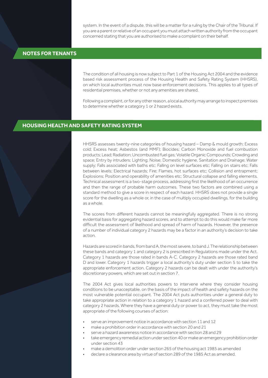system. In the event of a dispute, this will be a matter for a ruling by the Chair of the Tribunal. If you are a parent or relative of an occupant you must attach written authority from the occupant concerned stating that you are authorised to make a complaint on their behalf.

#### **NOTES FOR TENANTS**

The condition of all housing is now subject to Part 1 of the Housing Act 2004 and the evidence based risk assessment process of the Housing Health and Safety Rating System (HHSRS), on which local authorities must now base enforcement decisions. This applies to all types of residential premises, whether or not any amenities are shared.

Following a complaint, or for any other reason, a local authority may arrange to inspect premises to determine whether a category 1 or 2 hazard exists.

#### **HOUSING HEALTH AND SAFETY RATING SYSTEM**

HHSRS assesses twenty-nine categories of housing hazard – Damp & mould growth; Excess cold; Excess heat; Asbestos (and MMF); Biocides; Carbon Monoxide and fuel combustion products; Lead; Radiation; Uncombusted fuel gas; Volatile Organic Compounds; Crowding and space; Entry by intruders; Lighting; Noise; Domestic hygiene, Sanitation and Drainage; Water supply; Falls associated with baths etc; Falling on level surfaces etc; Falling on stairs etc; Falls between levels; Electrical hazards; Fire; Flames, hot surfaces etc; Collision and entrapment; Explosions; Position and operability of amenities etc; Structural collapse and falling elements. Technical assessment is a two-stage process, addressing first the likelihood of an occurrence and then the range of probable harm outcomes. These two factors are combined using a standard method to give a score in respect of each hazard. HHSRS does not provide a single score for the dwelling as a whole or, in the case of multiply occupied dwellings, for the building as a whole.

The scores from different hazards cannot be meaningfully aggregated. There is no strong evidential basis for aggregating hazard scores, and to attempt to do this would make far more difficult the assessment of likelihood and spread of harm of hazards. However, the presence of a number of individual category 2 hazards may be a factor in an authority's decision to take action.

Hazards are scored in bands, from band A, the most severe, to band J. The relationship between these bands and category 1 and category 2 is prescribed in Regulations made under the Act. Category 1 hazards are those rated in bands A-C. Category 2 hazards are those rated band D and lower. Category 1 hazards trigger a local authority's duty under section 5 to take the appropriate enforcement action. Category 2 hazards can be dealt with under the authority's discretionary powers, which are set out in section 7.

The 2004 Act gives local authorities powers to intervene where they consider housing conditions to be unacceptable, on the basis of the impact of health and safety hazards on the most vulnerable potential occupant. The 2004 Act puts authorities under a general duty to take appropriate action in relation to a category 1 hazard and a conferred power to deal with category 2 hazards. Where they have a general duty or power to act, they must take the most appropriate of the following courses of action:

- serve an improvement notice in accordance with section 11 and 12
- make a prohibition order in accordance with section 20 and 21
- serve a hazard awareness notice in accordance with section 28 and 29
- take emergency remedial action under section 40 or make an emergency prohibition order under section 43
- make a demolition order under section 265 of the housing act 1985 as amended
- declare a clearance area by virtue of section 289 of the 1985 Act as amended.